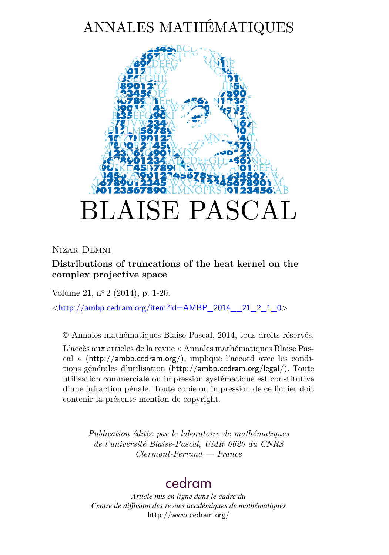# ANNALES MATHÉMATIQUES



Nizar Demni

**Distributions of truncations of the heat kernel on the complex projective space**

Volume 21, n<sup>o</sup> 2 (2014), p. 1-20.

 $\lt$ [http://ambp.cedram.org/item?id=AMBP\\_2014\\_\\_21\\_2\\_1\\_0](http://ambp.cedram.org/item?id=AMBP_2014__21_2_1_0)>

© Annales mathématiques Blaise Pascal, 2014, tous droits réservés.

L'accès aux articles de la revue « Annales mathématiques Blaise Pascal » (<http://ambp.cedram.org/>), implique l'accord avec les conditions générales d'utilisation (<http://ambp.cedram.org/legal/>). Toute utilisation commerciale ou impression systématique est constitutive d'une infraction pénale. Toute copie ou impression de ce fichier doit contenir la présente mention de copyright.

> *Publication éditée par le laboratoire de mathématiques de l'université Blaise-Pascal, UMR 6620 du CNRS Clermont-Ferrand — France*

# [cedram](http://www.cedram.org/)

*Article mis en ligne dans le cadre du Centre de diffusion des revues académiques de mathématiques* <http://www.cedram.org/>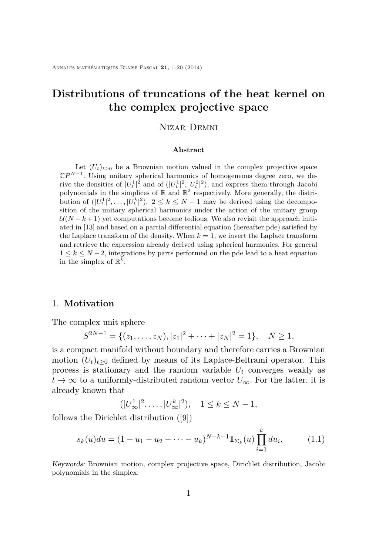# **Distributions of truncations of the heat kernel on the complex projective space**

### Nizar Demni

#### **Abstract**

Let  $(U_t)_{t\geq0}$  be a Brownian motion valued in the complex projective space C*P N*−1 . Using unitary spherical harmonics of homogeneous degree zero, we derive the densities of  $|U_t^1|^2$  and of  $(|U_t^1|^2, |U_t^2|^2)$ , and express them through Jacobi polynomials in the simplices of  $\mathbb R$  and  $\mathbb R^2$  respectively. More generally, the distribution of  $(|U_t^1|^2, \ldots, |U_t^k|^2), 2 \leq k \leq N-1$  may be derived using the decomposition of the unitary spherical harmonics under the action of the unitary group  $U(N-k+1)$  yet computations become tedious. We also revisit the approach initiated in [\[13\]](#page-19-0) and based on a partial differential equation (hereafter pde) satisfied by the Laplace transform of the density. When  $k = 1$ , we invert the Laplace transform and retrieve the expression already derived using spherical harmonics. For general  $1 \leq k \leq N-2$ , integrations by parts performed on the pde lead to a heat equation in the simplex of  $\mathbb{R}^k$ .

### 1. **Motivation**

The complex unit sphere

$$
S^{2N-1} = \{(z_1, \ldots, z_N), |z_1|^2 + \cdots + |z_N|^2 = 1\}, \quad N \ge 1,
$$

is a compact manifold without boundary and therefore carries a Brownian motion  $(U_t)_{t>0}$  defined by means of its Laplace-Beltrami operator. This process is stationary and the random variable  $U_t$  converges weakly as  $t \to \infty$  to a uniformly-distributed random vector  $U_{\infty}$ . For the latter, it is already known that

$$
(|U^1_{\infty}|^2, \dots, |U^k_{\infty}|^2), \quad 1 \le k \le N - 1,
$$

follows the Dirichlet distribution ([\[9\]](#page-19-0))

$$
s_k(u)du = (1 - u_1 - u_2 - \dots - u_k)^{N-k-1} \mathbf{1}_{\Sigma_k}(u) \prod_{i=1}^k du_i, \tag{1.1}
$$

Keywords: Brownian motion, complex projective space, Dirichlet distribution, Jacobi polynomials in the simplex.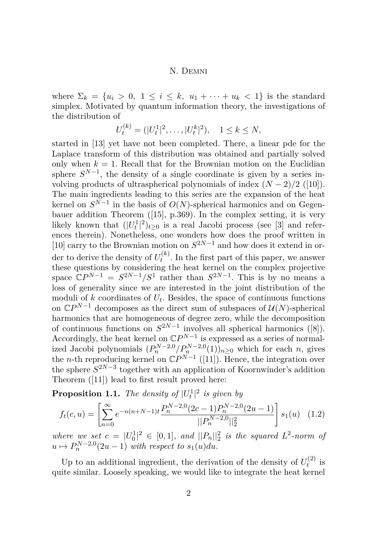<span id="page-2-0"></span>where  $\Sigma_k = \{u_i > 0, 1 \leq i \leq k, u_1 + \cdots + u_k < 1\}$  is the standard simplex. Motivated by quantum information theory, the investigations of the distribution of

$$
U_t^{(k)} = (|U_t^1|^2, \dots, |U_t^k|^2), \quad 1 \le k \le N,
$$

started in [\[13\]](#page-19-0) yet have not been completed. There, a linear pde for the Laplace transform of this distribution was obtained and partially solved only when  $k = 1$ . Recall that for the Brownian motion on the Euclidian sphere  $S^{N-1}$ , the density of a single coordinate is given by a series involving products of ultraspherical polynomials of index  $(N-2)/2$  ([\[10\]](#page-19-0)). The main ingredients leading to this series are the expansion of the heat kernel on  $S^{N-1}$  in the basis of  $O(N)$ -spherical harmonics and on Gegenbauer addition Theorem ([\[15\]](#page-19-0), p.369). In the complex setting, it is very likely known that  $(|U_t^1|^2)_{t\geq 0}$  is a real Jacobi process (see [\[3\]](#page-18-0) and references therein). Nonetheless, one wonders how does the proof written in [\[10\]](#page-19-0) carry to the Brownian motion on  $S^{2N-1}$  and how does it extend in order to derive the density of  $U_t^{(k)}$  $t^{(k)}$ . In the first part of this paper, we answer these questions by considering the heat kernel on the complex projective space  $\mathbb{C}P^{N-1} = S^{2N-1}/S^1$  rather than  $S^{2N-1}$ . This is by no means a loss of generality since we are interested in the joint distribution of the moduli of  $k$  coordinates of  $U_t$ . Besides, the space of continuous functions on  $\mathbb{C}P^{N-1}$  decomposes as the direct sum of subspaces of  $\mathcal{U}(N)$ -spherical harmonics that are homogeneous of degree zero, while the decomposition of continuous functions on  $S^{2N-1}$  involves all spherical harmonics ([\[8\]](#page-19-0)). Accordingly, the heat kernel on  $\mathbb{C}P^{N-1}$  is expressed as a series of normalized Jacobi polynomials  $(P_n^{N-2,0}/P_n^{N-2,0}(1))_{n\geq 0}$  which for each *n*, gives the *n*-th reproducing kernel on  $\mathbb{C}P^{N-1}$  ([\[11\]](#page-19-0)). Hence, the integration over the sphere  $S^{2N-3}$  together with an application of Koornwinder's addition Theorem ([\[11\]](#page-19-0)) lead to first result proved here:

**Proposition 1.1.** *The density of*  $|U_t^1|^2$  *is given by* 

$$
f_t(c, u) = \left[ \sum_{n=0}^{\infty} e^{-n(n+N-1)t} \frac{P_n^{N-2,0}(2c-1)P_n^{N-2,0}(2u-1)}{\|P_n^{N-2,0}\|_2^2} \right] s_1(u) \quad (1.2)
$$

*where we set*  $c = |U_0^1|^2 \in [0,1]$ *, and*  $||P_n||_2^2$  *is the squared*  $L^2$ -norm of  $u \mapsto P_n^{N-2,0}(2u-1)$  *with respect to*  $s_1(u)du$ *.* 

Up to an additional ingredient, the derivation of the density of  $U_t^{(2)}$  $t^{(2)}$  is quite similar. Loosely speaking, we would like to integrate the heat kernel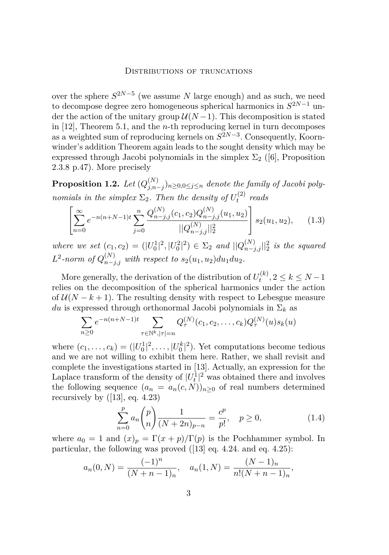<span id="page-3-0"></span>over the sphere  $S^{2N-5}$  (we assume *N* large enough) and as such, we need to decompose degree zero homogeneous spherical harmonics in *S* <sup>2</sup>*N*−<sup>1</sup> under the action of the unitary group  $\mathcal{U}(N-1)$ . This decomposition is stated in [\[12\]](#page-19-0), Theorem 5.1, and the *n*-th reproducing kernel in turn decomposes as a weighted sum of reproducing kernels on  $S^{2N-3}$ . Consequently, Koornwinder's addition Theorem again leads to the sought density which may be expressed through Jacobi polynomials in the simplex  $\Sigma_2$  ([\[6\]](#page-19-0), Proposition 2.3.8 p.47). More precisely

 $\bf{Proposition 1.2.}$  *Let*  $(Q_{i,n}^{(N)})$ *j,n*−*j* )*n*≥0*,*0≤*j*≤*<sup>n</sup> denote the family of Jacobi polynomials in the simplex*  $\Sigma_2$ *. Then the density of*  $U_t^{(2)}$  $t_t^{(2)}$  *reads* 

$$
\left[\sum_{n=0}^{\infty} e^{-n(n+N-1)t} \sum_{j=0}^{n} \frac{Q_{n-j,j}^{(N)}(c_1, c_2) Q_{n-j,j}^{(N)}(u_1, u_2)}{||Q_{n-j,j}^{(N)}||_2^2}\right] s_2(u_1, u_2), \quad (1.3)
$$

*where we set*  $(c_1, c_2) = (|U_0^1|^2, |U_0^2|^2) \in \Sigma_2$  *and*  $||Q_{n-j,j}^{(N)}||_2^2$  *is the squared*  $L^2$ -norm of  $Q_{n-j,j}^{(N)}$  with respect to  $s_2(u_1, u_2) du_1 du_2$ .

More generally, the derivation of the distribution of  $U_t^{(k)}$  $t^{(k)}$ , 2  $\leq k \leq N-1$ relies on the decomposition of the spherical harmonics under the action of  $U(N-k+1)$ . The resulting density with respect to Lebesgue measure *du* is expressed through orthonormal Jacobi polynomials in  $\Sigma_k$  as

$$
\sum_{n\geq 0} e^{-n(n+N-1)t} \sum_{\tau \in \mathbb{N}^k, |\tau|=n} Q_{\tau}^{(N)}(c_1, c_2, \dots, c_k) Q_{\tau}^{(N)}(u) s_k(u)
$$

where  $(c_1, \ldots, c_k) = (|U_0^1|^2, \ldots, |U_0^k|^2)$ . Yet computations become tedious and we are not willing to exhibit them here. Rather, we shall revisit and complete the investigations started in [\[13\]](#page-19-0). Actually, an expression for the Laplace transform of the density of  $|U_t^1|^2$  was obtained there and involves the following sequence  $(a_n = a_n(c, N))_{n>0}$  of real numbers determined recursively by ([\[13\]](#page-19-0), eq. 4.23)

$$
\sum_{n=0}^{p} a_n \binom{p}{n} \frac{1}{(N+2n)_{p-n}} = \frac{c^p}{p!}, \quad p \ge 0,
$$
\n(1.4)

where  $a_0 = 1$  and  $(x)_p = \Gamma(x+p)/\Gamma(p)$  is the Pochhammer symbol. In particular, the following was proved ([\[13\]](#page-19-0) eq. 4.24. and eq. 4.25):

$$
a_n(0,N) = \frac{(-1)^n}{(N+n-1)_n}, \quad a_n(1,N) = \frac{(N-1)_n}{n!(N+n-1)_n},
$$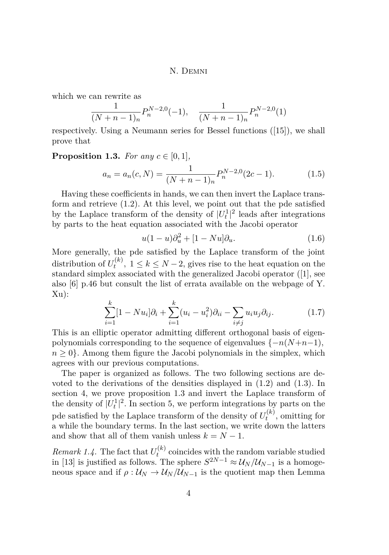<span id="page-4-0"></span>which we can rewrite as

$$
\frac{1}{(N+n-1)_n} P_n^{N-2,0}(-1), \quad \frac{1}{(N+n-1)_n} P_n^{N-2,0}(1)
$$

respectively. Using a Neumann series for Bessel functions ([\[15\]](#page-19-0)), we shall prove that

#### **Proposition 1.3.** *For any*  $c \in [0,1]$ *,*

$$
a_n = a_n(c, N) = \frac{1}{(N + n - 1)_n} P_n^{N-2,0}(2c - 1).
$$
 (1.5)

Having these coefficients in hands, we can then invert the Laplace transform and retrieve [\(1.2\)](#page-2-0). At this level, we point out that the pde satisfied by the Laplace transform of the density of  $|U_t^1|^2$  leads after integrations by parts to the heat equation associated with the Jacobi operator

$$
u(1-u)\partial_u^2 + [1 - Nu]\partial_u.
$$
\n(1.6)

More generally, the pde satisfied by the Laplace transform of the joint distribution of  $U_t^{(k)}$  $t_t^{(k)}$ ,  $1 \leq k \leq N-2$ , gives rise to the heat equation on the standard simplex associated with the generalized Jacobi operator ([\[1\]](#page-18-0), see also [\[6\]](#page-19-0) p.46 but consult the list of errata available on the webpage of Y. Xu):

$$
\sum_{i=1}^{k} [1 - Nu_i] \partial_i + \sum_{i=1}^{k} (u_i - u_i^2) \partial_{ii} - \sum_{i \neq j} u_i u_j \partial_{ij}.
$$
 (1.7)

This is an elliptic operator admitting different orthogonal basis of eigenpolynomials corresponding to the sequence of eigenvalues  $\{-n(N+n-1),\}$  $n \geq 0$ . Among them figure the Jacobi polynomials in the simplex, which agrees with our previous computations.

The paper is organized as follows. The two following sections are devoted to the derivations of the densities displayed in [\(1.2\)](#page-2-0) and [\(1.3\)](#page-3-0). In section 4, we prove proposition 1.3 and invert the Laplace transform of the density of  $|U_t^1|^2$ . In section 5, we perform integrations by parts on the pde satisfied by the Laplace transform of the density of  $U_t^{(k)}$  $t_t^{(\kappa)}$ , omitting for a while the boundary terms. In the last section, we write down the latters and show that all of them vanish unless  $k = N - 1$ .

*Remark 1.4.* The fact that  $U_t^{(k)}$  $t_t^{(k)}$  coincides with the random variable studied in [\[13\]](#page-19-0) is justified as follows. The sphere  $S^{2N-1} \approx \mathcal{U}_N/\mathcal{U}_{N-1}$  is a homogeneous space and if  $\rho$  :  $\mathcal{U}_N \rightarrow \mathcal{U}_N / \mathcal{U}_{N-1}$  is the quotient map then Lemma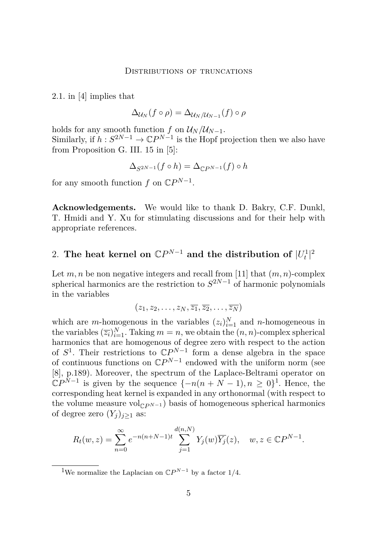2.1. in [\[4\]](#page-19-0) implies that

$$
\Delta_{\mathcal{U}_N}(f\circ\rho)=\Delta_{\mathcal{U}_N/\mathcal{U}_{N-1}}(f)\circ\rho
$$

holds for any smooth function *f* on  $U_N/U_{N-1}$ . Similarly, if  $h: S^{2N-1} \to \mathbb{C}P^{N-1}$  is the Hopf projection then we also have from Proposition G. III. 15 in [\[5\]](#page-19-0):

$$
\Delta_{S^{2N-1}}(f \circ h) = \Delta_{\mathbb{C}P^{N-1}}(f) \circ h
$$

for any smooth function  $f$  on  $\mathbb{C}P^{N-1}$ .

**Acknowledgements.** We would like to thank D. Bakry, C.F. Dunkl, T. Hmidi and Y. Xu for stimulating discussions and for their help with appropriate references.

# 2. The heat kernel on  $\mathbb{C}P^{N-1}$  and the distribution of  $|U_t^1|^2$

Let  $m, n$  be non negative integers and recall from [\[11\]](#page-19-0) that  $(m, n)$ -complex spherical harmonics are the restriction to *S* <sup>2</sup>*N*−<sup>1</sup> of harmonic polynomials in the variables

$$
(z_1, z_2, \ldots, z_N, \overline{z_1}, \overline{z_2}, \ldots, \overline{z_N})
$$

which are *m*-homogenous in the variables  $(z_i)_{i=1}^N$  and *n*-homogeneous in the variables  $(\overline{z_i})_{i=1}^N$ . Taking  $m = n$ , we obtain the  $(n, n)$ -complex spherical harmonics that are homogenous of degree zero with respect to the action of  $S^1$ . Their restrictions to  $\mathbb{C}P^{N-1}$  form a dense algebra in the space of continuous functions on  $\mathbb{C}P^{N-1}$  endowed with the uniform norm (see [\[8\]](#page-19-0), p.189). Moreover, the spectrum of the Laplace-Beltrami operator on  $\mathbb{C}P^{N-1}$  is given by the sequence  $\{-n(n+N-1), n \geq 0\}^1$ . Hence, the corresponding heat kernel is expanded in any orthonormal (with respect to the volume measure vol<sub> $CP^{N-1}$ </sub>) basis of homogeneous spherical harmonics of degree zero  $(Y_i)_{i\geq 1}$  as:

$$
R_t(w, z) = \sum_{n=0}^{\infty} e^{-n(n+N-1)t} \sum_{j=1}^{d(n,N)} Y_j(w) \overline{Y_j}(z), \quad w, z \in \mathbb{C}P^{N-1}.
$$

<sup>1</sup>We normalize the Laplacian on  $\mathbb{C}P^{N-1}$  by a factor 1/4.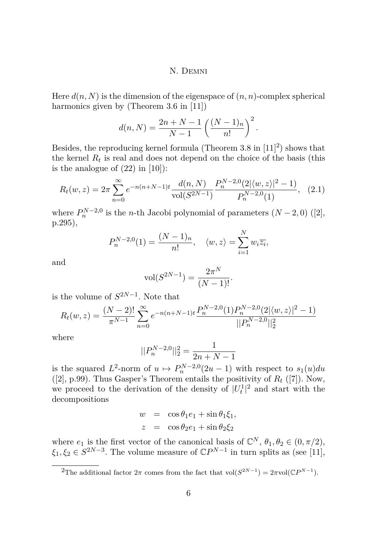<span id="page-6-0"></span>Here  $d(n, N)$  is the dimension of the eigenspace of  $(n, n)$ -complex spherical harmonics given by (Theorem 3.6 in [\[11\]](#page-19-0))

$$
d(n, N) = \frac{2n + N - 1}{N - 1} \left( \frac{(N - 1)n}{n!} \right)^2.
$$

Besides, the reproducing kernel formula (Theorem 3.8 in  $[11]^2$  $[11]^2$ ) shows that the kernel  $R_t$  is real and does not depend on the choice of the basis (this is the analogue of  $(22)$  in [\[10\]](#page-19-0)):

$$
R_t(w, z) = 2\pi \sum_{n=0}^{\infty} e^{-n(n+N-1)t} \frac{d(n, N)}{\text{vol}(S^{2N-1})} \frac{P_n^{N-2,0}(2|\langle w, z \rangle|^2 - 1)}{P_n^{N-2,0}(1)}, \quad (2.1)
$$

where  $P_n^{N-2,0}$  is the *n*-th Jacobi polynomial of parameters  $(N-2,0)$  ([\[2\]](#page-18-0), p.295),

$$
P_n^{N-2,0}(1) = \frac{(N-1)_n}{n!}, \quad \langle w, z \rangle = \sum_{i=1}^N w_i \overline{z_i},
$$

and

$$
vol(S^{2N-1}) = \frac{2\pi^N}{(N-1)!}.
$$

is the volume of  $S^{2N-1}$ . Note that

$$
R_t(w, z) = \frac{(N-2)!}{\pi^{N-1}} \sum_{n=0}^{\infty} e^{-n(n+N-1)t} \frac{P_n^{N-2,0}(1)P_n^{N-2,0}(2|\langle w, z \rangle|^2 - 1)}{||P_n^{N-2,0}||_2^2}
$$

where

$$
||P_n^{N-2,0}||_2^2 = \frac{1}{2n + N - 1}
$$

is the squared  $L^2$ -norm of  $u \mapsto P_n^{N-2,0}(2u-1)$  with respect to  $s_1(u)du$  $([2], p.99)$  $([2], p.99)$  $([2], p.99)$ . Thus Gasper's Theorem entails the positivity of  $R_t$  ([\[7\]](#page-19-0)). Now, we proceed to the derivation of the density of  $|U_t^1|^2$  and start with the decompositions

$$
w = \cos \theta_1 e_1 + \sin \theta_1 \xi_1,
$$
  

$$
z = \cos \theta_2 e_1 + \sin \theta_2 \xi_2
$$

where  $e_1$  is the first vector of the canonical basis of  $\mathbb{C}^N$ ,  $\theta_1, \theta_2 \in (0, \pi/2)$ ,  $\xi_1, \xi_2 \in S^{2N-3}$ . The volume measure of  $\mathbb{C}P^{N-1}$  in turn splits as (see [\[11\]](#page-19-0),

<sup>2</sup>The additional factor  $2\pi$  comes from the fact that vol $(S^{2N-1}) = 2\pi$ vol $(\mathbb{C}P^{N-1})$ .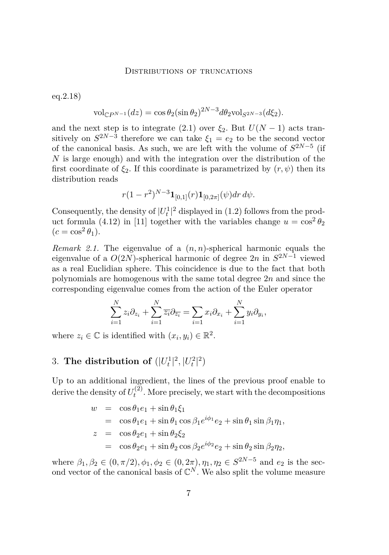#### DISTRIBUTIONS OF TRUNCATIONS

eq.2.18)

$$
\text{vol}_{\mathbb{C}P^{N-1}}(dz) = \cos \theta_2 (\sin \theta_2)^{2N-3} d\theta_2 \text{vol}_{S^{2N-3}}(d\xi_2).
$$

and the next step is to integrate [\(2.1\)](#page-6-0) over  $\xi_2$ . But  $U(N-1)$  acts transitively on  $S^{2N-3}$  therefore we can take  $\xi_1 = e_2$  to be the second vector of the canonical basis. As such, we are left with the volume of  $S^{2N-5}$  (if *N* is large enough) and with the integration over the distribution of the first coordinate of  $\xi_2$ . If this coordinate is parametrized by  $(r, \psi)$  then its distribution reads

$$
r(1-r^2)^{N-3} \mathbf{1}_{[0,1]}(r) \mathbf{1}_{[0,2\pi]}(\psi) dr d\psi.
$$

Consequently, the density of  $|U_t^1|^2$  displayed in [\(1.2\)](#page-2-0) follows from the prod-uct formula (4.12) in [\[11\]](#page-19-0) together with the variables change  $u = \cos^2 \theta_2$  $(c = \cos^2 \theta_1).$ 

*Remark 2.1.* The eigenvalue of a (*n, n*)-spherical harmonic equals the eigenvalue of a *O*(2*N*)-spherical harmonic of degree 2*n* in *S* <sup>2</sup>*N*−<sup>1</sup> viewed as a real Euclidian sphere. This coincidence is due to the fact that both polynomials are homogenous with the same total degree 2*n* and since the corresponding eigenvalue comes from the action of the Euler operator

$$
\sum_{i=1}^{N} z_i \partial_{z_i} + \sum_{i=1}^{N} \overline{z_i} \partial_{\overline{z_i}} = \sum_{i=1}^{N} x_i \partial_{x_i} + \sum_{i=1}^{N} y_i \partial_{y_i},
$$

where  $z_i \in \mathbb{C}$  is identified with  $(x_i, y_i) \in \mathbb{R}^2$ .

# 3. The distribution of  $(|U_t^1|^2, |U_t^2|^2)$

Up to an additional ingredient, the lines of the previous proof enable to derive the density of  $U_t^{(2)}$  $t^{(2)}$ . More precisely, we start with the decompositions

$$
w = \cos \theta_1 e_1 + \sin \theta_1 \xi_1
$$
  
=  $\cos \theta_1 e_1 + \sin \theta_1 \cos \beta_1 e^{i\phi_1} e_2 + \sin \theta_1 \sin \beta_1 \eta_1$ ,  

$$
z = \cos \theta_2 e_1 + \sin \theta_2 \xi_2
$$
  
=  $\cos \theta_2 e_1 + \sin \theta_2 \cos \beta_2 e^{i\phi_2} e_2 + \sin \theta_2 \sin \beta_2 \eta_2$ ,

where  $\beta_1, \beta_2 \in (0, \pi/2), \phi_1, \phi_2 \in (0, 2\pi), \eta_1, \eta_2 \in S^{2N-5}$  and  $e_2$  is the second vector of the canonical basis of  $\mathbb{C}^N$ . We also split the volume measure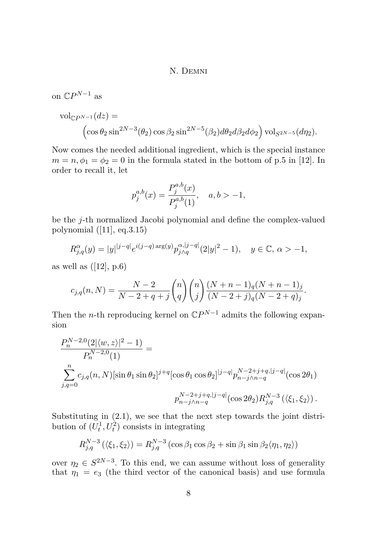on  $\mathbb{C}P^{N-1}$  as

$$
\text{vol}_{\mathbb{C}P^{N-1}}(dz) =
$$
  

$$
\left(\cos\theta_2\sin^{2N-3}(\theta_2)\cos\beta_2\sin^{2N-5}(\beta_2)d\theta_2d\beta_2d\phi_2\right)\text{vol}_{S^{2N-5}}(d\eta_2).
$$

Now comes the needed additional ingredient, which is the special instance  $m = n, \phi_1 = \phi_2 = 0$  in the formula stated in the bottom of p.5 in [\[12\]](#page-19-0). In order to recall it, let

$$
p_j^{a,b}(x) = \frac{P_j^{a,b}(x)}{P_j^{a,b}(1)}, \quad a, b > -1,
$$

be the *j*-th normalized Jacobi polynomial and define the complex-valued polynomial ([\[11\]](#page-19-0), eq.3.15)

$$
R_{j,q}^{\alpha}(y) = |y|^{|j-q|} e^{i(j-q)\arg(y)} p_{j \wedge q}^{\alpha,|j-q|} (2|y|^2 - 1), \quad y \in \mathbb{C}, \, \alpha > -1,
$$

as well as  $([12], p.6)$  $([12], p.6)$  $([12], p.6)$ 

$$
c_{j,q}(n,N) = \frac{N-2}{N-2+q+j} {n \choose q} {n \choose j} \frac{(N+n-1)_{q}(N+n-1)_{j}}{(N-2+j)_{q}(N-2+q)_{j}}.
$$

Then the *n*-th reproducing kernel on  $\mathbb{C}P^{N-1}$  admits the following expansion

$$
\frac{P_n^{N-2,0}(2|\langle w,z\rangle|^2 - 1)}{P_n^{N-2,0}(1)} =
$$
\n
$$
\sum_{j,q=0}^n c_{j,q}(n,N)[\sin \theta_1 \sin \theta_2]^{j+q} [\cos \theta_1 \cos \theta_2]^{|j-q|} p_{n-j \wedge n-q}^{N-2+j+q,|j-q|} (\cos 2\theta_1)
$$
\n
$$
p_{n-j \wedge n-q}^{N-2+j+q,|j-q|} (\cos 2\theta_2) R_{j,q}^{N-3} (\langle \xi_1, \xi_2 \rangle).
$$

Substituting in [\(2.1\)](#page-6-0), we see that the next step towards the joint distribution of  $(U_t^1, U_t^2)$  consists in integrating

$$
R_{j,q}^{N-3}\left(\langle \xi_1,\xi_2\rangle\right) = R_{j,q}^{N-3}\left(\cos\beta_1\cos\beta_2 + \sin\beta_1\sin\beta_2\langle \eta_1,\eta_2\rangle\right)
$$

over  $\eta_2 \in S^{2N-3}$ . To this end, we can assume without loss of generality that  $\eta_1 = e_3$  (the third vector of the canonical basis) and use formula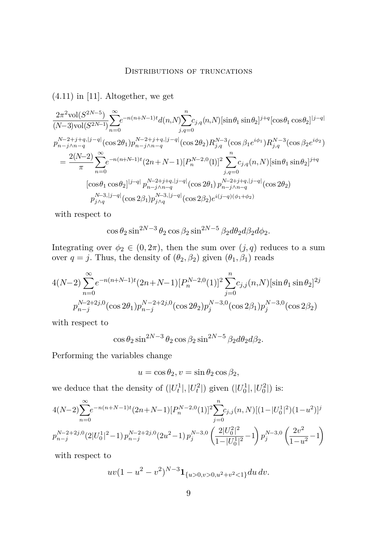$(4.11)$  in [\[11\]](#page-19-0). Altogether, we get

$$
\begin{split} &\frac{2\pi^2 \text{vol}(S^{2N-5})}{(N-3)\text{vol}(S^{2N-1})} \!\!\sum_{n=0}^{\infty} e^{-n(n+N-1)t} d(n,N) \!\!\sum_{j,q=0}^{n} c_{j,q}(n,N) [\sin\theta_1 \sin\theta_2]^{j+q} [\cos\theta_1 \cos\theta_2]^{|j-q|} \\ &\frac{p_{n-j\wedge n-q}^{N-2+j+q,|j-q|} (\cos2\theta_1) p_{n-j\wedge n-q}^{N-2+j+q,|j-q|} (\cos2\theta_2) R_{j,q}^{N-3} (\cos\beta_1 e^{i\phi_1}) R_{j,q}^{N-3} (\cos\beta_2 e^{i\phi_2}) \\ &\quad = \frac{2(N-2)}{\pi} \sum_{n=0}^{\infty} e^{-n(n+N-1)t} (2n+N-1) [P_n^{N-2,0}(1)]^2 \sum_{j,q=0}^{n} c_{j,q}(n,N) [\sin\theta_1 \sin\theta_2]^{j+q} \\ &\quad [\cos\theta_1 \cos\theta_2]^{|j-q|} p_{n-j\wedge n-q}^{N-2+j+q,|j-q|} (\cos2\theta_1) p_{n-j\wedge n-q}^{N-2+j+q,|j-q|} (\cos2\theta_2) \\ &\quad p_{j\wedge q}^{N-3,|j-q|} (\cos2\beta_1) p_{j\wedge q}^{N-3,|j-q|} (\cos2\beta_2) e^{i(j-q)(\phi_1+\phi_2)} \end{split}
$$

with respect to

$$
\cos\theta_2\sin^{2N-3}\theta_2\cos\beta_2\sin^{2N-5}\beta_2d\theta_2d\beta_2d\phi_2.
$$

Integrating over  $\phi_2 \in (0, 2\pi)$ , then the sum over  $(j, q)$  reduces to a sum over  $q = j$ . Thus, the density of  $(\theta_2, \beta_2)$  given  $(\theta_1, \beta_1)$  reads

$$
4(N-2)\sum_{n=0}^{\infty}e^{-n(n+N-1)t}(2n+N-1)[P_n^{N-2,0}(1)]^2\sum_{j=0}^nc_{j,j}(n,N)[\sin\theta_1\sin\theta_2]^{2j}
$$
  

$$
p_{n-j}^{N-2+2j,0}(\cos 2\theta_1)p_{n-j}^{N-2+2j,0}(\cos 2\theta_2)p_j^{N-3,0}(\cos 2\beta_1)p_j^{N-3,0}(\cos 2\beta_2)
$$

with respect to

$$
\cos \theta_2 \sin^{2N-3} \theta_2 \cos \beta_2 \sin^{2N-5} \beta_2 d\theta_2 d\beta_2.
$$

Performing the variables change

$$
u = \cos \theta_2, v = \sin \theta_2 \cos \beta_2,
$$

we deduce that the density of  $(|U_t^1|, |U_t^2|)$  given  $(|U_0^1|, |U_0^2|)$  is:

$$
\begin{aligned} &4(N-2)\sum_{n=0}^{\infty}e^{-n(n+N-1)t}(2n+N-1)[P_{n}^{N-2,0}(1)]^{2}\sum_{j=0}^{n}c_{j,j}(n,N)[(1-|U_{0}^{1}|^{2})(1-u^{2})]^{j}\\ &p_{n-j}^{N-2+2j,0}(2|U_{0}^{1}|^{2}-1)\,p_{n-j}^{N-2+2j,0}(2u^{2}-1)\,p_{j}^{N-3,0}\left(\frac{2|U_{0}^{2}|^{2}}{1-|U_{0}^{1}|^{2}}-1\right)p_{j}^{N-3,0}\left(\frac{2v^{2}}{1-u^{2}}-1\right)\\ \end{aligned}
$$

with respect to

$$
uv(1-u^2-v^2)^{N-3}\mathbf{1}_{\{u>0,v>0,u^2+v^2<1\}}du\,dv.
$$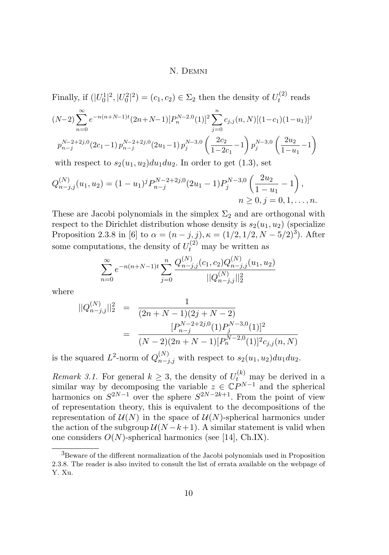Finally, if  $(|U_0^1|^2, |U_0^2|^2) = (c_1, c_2) \in \Sigma_2$  then the density of  $U_t^{(2)}$  $t^{(2)}$  reads

$$
(N-2)\sum_{n=0}^{\infty} e^{-n(n+N-1)t} (2n+N-1)[P_n^{N-2,0}(1)]^2 \sum_{j=0}^n c_{j,j}(n,N)[(1-c_1)(1-u_1)]^j
$$
  

$$
p_{n-j}^{N-2+2j,0}(2c_1-1) p_{n-j}^{N-2+2j,0}(2u_1-1) p_j^{N-3,0}\left(\frac{2c_2}{1-2c_1}-1\right) p_j^{N-3,0}\left(\frac{2u_2}{1-u_1}-1\right)
$$

with respect to  $s_2(u_1, u_2)du_1du_2$ . In order to get  $(1.3)$ , set

$$
Q_{n-j,j}^{(N)}(u_1, u_2) = (1 - u_1)^j P_{n-j}^{N-2+2j,0} (2u_1 - 1) P_j^{N-3,0} \left( \frac{2u_2}{1 - u_1} - 1 \right),
$$
  
\n
$$
n \ge 0, j = 0, 1, ..., n.
$$

These are Jacobi polynomials in the simplex  $\Sigma_2$  and are orthogonal with respect to the Dirichlet distribution whose density is  $s_2(u_1, u_2)$  (specialize Proposition 2.3.8 in [\[6\]](#page-19-0) to  $\alpha = (n-j, j)$ ,  $\kappa = (1/2, 1/2, N-5/2)^3$ . After some computations, the density of  $U_t^{(2)}$  may be written as

$$
\sum_{n=0}^{\infty} e^{-n(n+N-1)t} \sum_{j=0}^{n} \frac{Q_{n-j,j}^{(N)}(c_1, c_2) Q_{n-j,j}^{(N)}(u_1, u_2)}{||Q_{n-j,j}^{(N)}||_2^2}
$$

where

$$
||Q_{n-j,j}^{(N)}||_2^2 = \frac{1}{(2n+N-1)(2j+N-2)}
$$
  
= 
$$
\frac{[P_{n-j}^{N-2+2j,0}(1)P_j^{N-3,0}(1)]^2}{(N-2)(2n+N-1)[P_n^{N-2,0}(1)]^2 c_{j,j}(n,N)}
$$

is the squared  $L^2$ -norm of  $Q_{n-j,j}^{(N)}$  with respect to  $s_2(u_1, u_2)du_1du_2$ .

*Remark 3.1.* For general  $k \geq 3$ , the density of  $U_t^{(k)}$  may be derived in a similar way by decomposing the variable  $z \in \mathbb{C}P^{N-1}$  and the spherical harmonics on  $S^{2N-1}$  over the sphere  $S^{2N-2k+1}$ . From the point of view of representation theory, this is equivalent to the decompositions of the representation of  $\mathcal{U}(N)$  in the space of  $\mathcal{U}(N)$ -spherical harmonics under the action of the subgroup  $U(N-k+1)$ . A similar statement is valid when one considers  $O(N)$ -spherical harmonics (see [\[14\]](#page-19-0), Ch.IX).

<sup>3</sup>Beware of the different normalization of the Jacobi polynomials used in Proposition 2.3.8. The reader is also invited to consult the list of errata available on the webpage of Y. Xu.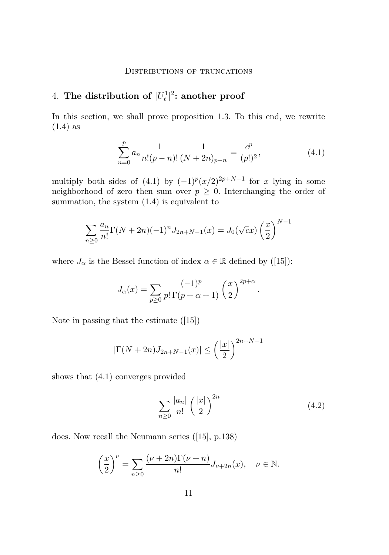# <span id="page-11-0"></span> $4.$  The distribution of  $|U_t^1|^2$ : another proof

In this section, we shall prove proposition [1.3.](#page-4-0) To this end, we rewrite [\(1.4\)](#page-3-0) as

$$
\sum_{n=0}^{p} a_n \frac{1}{n!(p-n)!} \frac{1}{(N+2n)_{p-n}} = \frac{c^p}{(p!)^2},
$$
\n(4.1)

multiply both sides of  $(4.1)$  by  $(-1)^p (x/2)^{2p+N-1}$  for *x* lying in some neighborhood of zero then sum over  $p \geq 0$ . Interchanging the order of summation, the system [\(1.4\)](#page-3-0) is equivalent to

$$
\sum_{n\geq 0} \frac{a_n}{n!} \Gamma(N+2n)(-1)^n J_{2n+N-1}(x) = J_0(\sqrt{c}x) \left(\frac{x}{2}\right)^{N-1}
$$

where  $J_{\alpha}$  is the Bessel function of index  $\alpha \in \mathbb{R}$  defined by ([\[15\]](#page-19-0)):

$$
J_{\alpha}(x) = \sum_{p \ge 0} \frac{(-1)^p}{p! \Gamma(p + \alpha + 1)} \left(\frac{x}{2}\right)^{2p + \alpha}.
$$

Note in passing that the estimate ([\[15\]](#page-19-0))

$$
|\Gamma(N+2n)J_{2n+N-1}(x)| \le \left(\frac{|x|}{2}\right)^{2n+N-1}
$$

shows that (4.1) converges provided

$$
\sum_{n\geq 0} \frac{|a_n|}{n!} \left(\frac{|x|}{2}\right)^{2n} \tag{4.2}
$$

does. Now recall the Neumann series ([\[15\]](#page-19-0), p.138)

$$
\left(\frac{x}{2}\right)^{\nu} = \sum_{n\geq 0} \frac{(\nu+2n)\Gamma(\nu+n)}{n!} J_{\nu+2n}(x), \quad \nu \in \mathbb{N}.
$$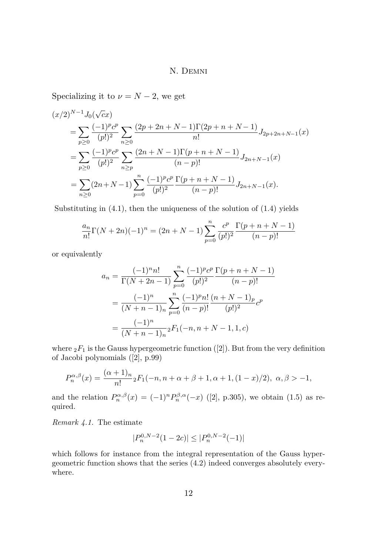Specializing it to  $\nu = N - 2$ , we get

$$
(x/2)^{N-1} J_0(\sqrt{c}x)
$$
  
=  $\sum_{p\geq 0} \frac{(-1)^p c^p}{(p!)^2} \sum_{n\geq 0} \frac{(2p+2n+N-1)\Gamma(2p+n+N-1)}{n!} J_{2p+2n+N-1}(x)$   
=  $\sum_{p\geq 0} \frac{(-1)^p c^p}{(p!)^2} \sum_{n\geq p} \frac{(2n+N-1)\Gamma(p+n+N-1)}{(n-p)!} J_{2n+N-1}(x)$   
=  $\sum_{n\geq 0} (2n+N-1) \sum_{p=0}^n \frac{(-1)^p c^p}{(p!)^2} \frac{\Gamma(p+n+N-1)}{(n-p)!} J_{2n+N-1}(x).$ 

Substituting in  $(4.1)$ , then the uniqueness of the solution of  $(1.4)$  yields

$$
\frac{a_n}{n!} \Gamma(N+2n)(-1)^n = (2n+N-1) \sum_{p=0}^n \frac{c^p}{(p!)^2} \frac{\Gamma(p+n+N-1)}{(n-p)!}
$$

or equivalently

$$
a_n = \frac{(-1)^n n!}{\Gamma(N+2n-1)} \sum_{p=0}^n \frac{(-1)^p c^p}{(p!)^2} \frac{\Gamma(p+n+N-1)}{(n-p)!}
$$

$$
= \frac{(-1)^n}{(N+n-1)_n} \sum_{p=0}^n \frac{(-1)^p n!}{(n-p)!} \frac{(n+N-1)_p}{(p!)^2} c^p
$$

$$
= \frac{(-1)^n}{(N+n-1)_n} {}_2F_1(-n, n+N-1, 1, c)
$$

where  ${}_2F_1$  is the Gauss hypergeometric function ([\[2\]](#page-18-0)). But from the very definition of Jacobi polynomials ([\[2\]](#page-18-0), p.99)

$$
P_n^{\alpha,\beta}(x) = \frac{(\alpha+1)_n}{n!} {}_2F_1(-n, n+\alpha+\beta+1, \alpha+1, (1-x)/2), \ \alpha,\beta > -1,
$$

and the relation  $P_n^{\alpha,\beta}(x) = (-1)^n P_n^{\beta,\alpha}(-x)$  ([\[2\]](#page-18-0), p.305), we obtain [\(1.5\)](#page-4-0) as required.

*Remark 4.1.* The estimate

$$
|P_n^{0,N-2}(1-2c)| \le |P_n^{0,N-2}(-1)|
$$

which follows for instance from the integral representation of the Gauss hypergeometric function shows that the series [\(4.2\)](#page-11-0) indeed converges absolutely everywhere.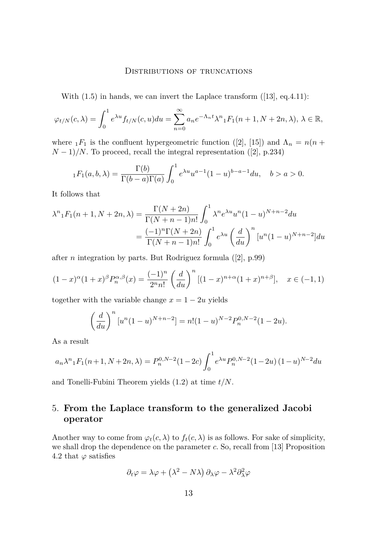With  $(1.5)$  in hands, we can invert the Laplace transform  $([13], eq.4.11)$  $([13], eq.4.11)$  $([13], eq.4.11)$ :

$$
\varphi_{t/N}(c,\lambda) = \int_0^1 e^{\lambda u} f_{t/N}(c,u) du = \sum_{n=0}^\infty a_n e^{-\Lambda_n t} \lambda^n {}_1F_1(n+1,N+2n,\lambda), \lambda \in \mathbb{R},
$$

where  $_1F_1$  is the confluent hypergeometric function ([\[2\]](#page-18-0), [\[15\]](#page-19-0)) and  $\Lambda_n = n(n + 1)$  $(N-1)/N$ . To proceed, recall the integral representation ([\[2\]](#page-18-0), p.234)

$$
{}_1F_1(a,b,\lambda) = \frac{\Gamma(b)}{\Gamma(b-a)\Gamma(a)} \int_0^1 e^{\lambda u} u^{a-1} (1-u)^{b-a-1} du, \quad b > a > 0.
$$

It follows that

$$
\lambda^{n} {}_{1}F_{1}(n+1, N+2n, \lambda) = \frac{\Gamma(N+2n)}{\Gamma(N+n-1)n!} \int_{0}^{1} \lambda^{n} e^{\lambda u} u^{n} (1-u)^{N+n-2} du
$$

$$
= \frac{(-1)^{n} \Gamma(N+2n)}{\Gamma(N+n-1)n!} \int_{0}^{1} e^{\lambda u} \left(\frac{d}{du}\right)^{n} [u^{n} (1-u)^{N+n-2}] du
$$

after *n* integration by parts. But Rodriguez formula ([\[2\]](#page-18-0), p.99)

$$
(1-x)^{\alpha}(1+x)^{\beta}P_n^{\alpha,\beta}(x) = \frac{(-1)^n}{2^n n!} \left(\frac{d}{du}\right)^n [(1-x)^{n+\alpha}(1+x)^{n+\beta}], \quad x \in (-1,1)
$$

together with the variable change  $x = 1 - 2u$  yields

$$
\left(\frac{d}{du}\right)^n [u^n (1-u)^{N+n-2}] = n! (1-u)^{N-2} P_n^{0,N-2} (1-2u).
$$

As a result

$$
a_n \lambda^n {}_1F_1(n+1, N+2n, \lambda) = P_n^{0, N-2} (1-2c) \int_0^1 e^{\lambda u} P_n^{0, N-2} (1-2u) (1-u)^{N-2} du
$$

and Tonelli-Fubini Theorem yields [\(1.2\)](#page-2-0) at time *t/N*.

### 5. **From the Laplace transform to the generalized Jacobi operator**

Another way to come from  $\varphi_t(c,\lambda)$  to  $f_t(c,\lambda)$  is as follows. For sake of simplicity, we shall drop the dependence on the parameter *c*. So, recall from [\[13\]](#page-19-0) Proposition 4.2 that  $\varphi$  satisfies

$$
\partial_t \varphi = \lambda \varphi + (\lambda^2 - N\lambda) \partial_{\lambda} \varphi - \lambda^2 \partial_{\lambda}^2 \varphi
$$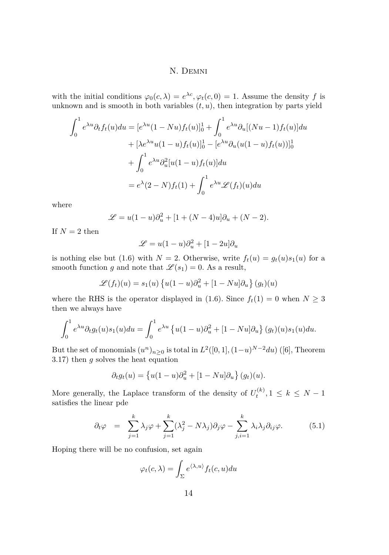<span id="page-14-0"></span>with the initial conditions  $\varphi_0(c,\lambda) = e^{\lambda c}, \varphi_t(c,0) = 1$ . Assume the density *f* is unknown and is smooth in both variables  $(t, u)$ , then integration by parts yield

$$
\int_0^1 e^{\lambda u} \partial_t f_t(u) du = [e^{\lambda u} (1 - Nu) f_t(u)]_0^1 + \int_0^1 e^{\lambda u} \partial_u [(Nu - 1) f_t(u)] du
$$
  
+ 
$$
[\lambda e^{\lambda u} u (1 - u) f_t(u)]_0^1 - [e^{\lambda u} \partial_u (u (1 - u) f_t(u))]_0^1
$$
  
+ 
$$
\int_0^1 e^{\lambda u} \partial_u^2 [u (1 - u) f_t(u)] du
$$
  
= 
$$
e^{\lambda} (2 - N) f_t(1) + \int_0^1 e^{\lambda u} \mathcal{L}(f_t)(u) du
$$

where

$$
\mathcal{L} = u(1 - u)\partial_u^2 + [1 + (N - 4)u]\partial_u + (N - 2).
$$

If  $N=2$  then

$$
\mathcal{L} = u(1-u)\partial_u^2 + [1-2u]\partial_u
$$

is nothing else but [\(1.6\)](#page-4-0) with  $N = 2$ . Otherwise, write  $f_t(u) = g_t(u)s_1(u)$  for a smooth function *g* and note that  $\mathcal{L}(s_1) = 0$ . As a result,

$$
\mathcal{L}(f_t)(u) = s_1(u) \left\{ u(1-u)\partial_u^2 + [1 - Nu]\partial_u \right\}(g_t)(u)
$$

where the RHS is the operator displayed in [\(1.6\)](#page-4-0). Since  $f_t(1) = 0$  when  $N \geq 3$ then we always have

$$
\int_0^1 e^{\lambda u} \partial_t g_t(u) s_1(u) du = \int_0^1 e^{\lambda u} \left\{ u(1-u) \partial_u^2 + [1 - Nu] \partial_u \right\} (g_t)(u) s_1(u) du.
$$

But the set of monomials  $(u^n)_{n\geq 0}$  is total in  $L^2([0,1], (1-u)^{N-2}du)$  ([\[6\]](#page-19-0), Theorem 3.17) then *g* solves the heat equation

$$
\partial_t g_t(u) = \{u(1-u)\partial_u^2 + [1 - Nu]\partial_u\} (g_t)(u).
$$

More generally, the Laplace transform of the density of  $U_t^{(k)}$ ,  $1 \leq k \leq N-1$ satisfies the linear pde

$$
\partial_t \varphi = \sum_{j=1}^k \lambda_j \varphi + \sum_{j=1}^k (\lambda_j^2 - N\lambda_j) \partial_j \varphi - \sum_{j,i=1}^k \lambda_i \lambda_j \partial_{ij} \varphi. \tag{5.1}
$$

Hoping there will be no confusion, set again

$$
\varphi_t(c,\lambda) = \int_{\Sigma} e^{\langle \lambda, u \rangle} f_t(c,u) du
$$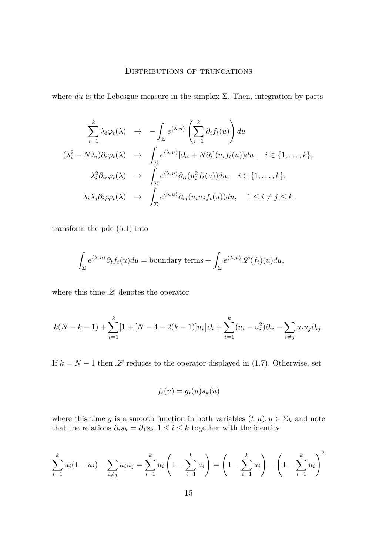where  $du$  is the Lebesgue measure in the simplex  $\Sigma$ . Then, integration by parts

$$
\sum_{i=1}^{k} \lambda_i \varphi_t(\lambda) \rightarrow -\int_{\Sigma} e^{\langle \lambda, u \rangle} \left( \sum_{i=1}^{k} \partial_i f_t(u) \right) du
$$
  

$$
(\lambda_i^2 - N\lambda_i) \partial_i \varphi_t(\lambda) \rightarrow \int_{\Sigma} e^{\langle \lambda, u \rangle} [\partial_{ii} + N\partial_i](u_i f_t(u)) du, \quad i \in \{1, ..., k\},
$$
  

$$
\lambda_i^2 \partial_{ii} \varphi_t(\lambda) \rightarrow \int_{\Sigma} e^{\langle \lambda, u \rangle} \partial_{ii} (u_i^2 f_t(u)) du, \quad i \in \{1, ..., k\},
$$
  

$$
\lambda_i \lambda_j \partial_{ij} \varphi_t(\lambda) \rightarrow \int_{\Sigma} e^{\langle \lambda, u \rangle} \partial_{ij} (u_i u_j f_t(u)) du, \quad 1 \le i \neq j \le k,
$$

transform the pde [\(5.1\)](#page-14-0) into

$$
\int_{\Sigma} e^{\langle \lambda, u \rangle} \partial_t f_t(u) du = \text{boundary terms} + \int_{\Sigma} e^{\langle \lambda, u \rangle} \mathscr{L}(f_t)(u) du,
$$

where this time  $\mathscr L$  denotes the operator

$$
k(N-k-1) + \sum_{i=1}^{k} [1 + [N-4-2(k-1)]u_i] \partial_i + \sum_{i=1}^{k} (u_i - u_i^2) \partial_{ii} - \sum_{i \neq j} u_i u_j \partial_{ij}.
$$

If  $k = N - 1$  then  $\mathscr L$  reduces to the operator displayed in [\(1.7\)](#page-4-0). Otherwise, set

$$
f_t(u) = g_t(u)s_k(u)
$$

where this time *g* is a smooth function in both variables  $(t, u), u \in \Sigma_k$  and note that the relations  $\partial_i s_k = \partial_1 s_k, 1 \leq i \leq k$  together with the identity

$$
\sum_{i=1}^{k} u_i (1 - u_i) - \sum_{i \neq j} u_i u_j = \sum_{i=1}^{k} u_i \left( 1 - \sum_{i=1}^{k} u_i \right) = \left( 1 - \sum_{i=1}^{k} u_i \right) - \left( 1 - \sum_{i=1}^{k} u_i \right)^2
$$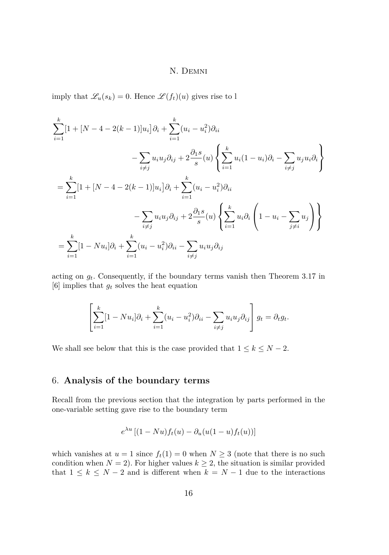imply that  $\mathscr{L}_u(s_k) = 0$ . Hence  $\mathscr{L}(f_t)(u)$  gives rise to l

$$
\sum_{i=1}^{k} [1 + [N - 4 - 2(k - 1)]u_i] \partial_i + \sum_{i=1}^{k} (u_i - u_i^2) \partial_{ii}
$$
  

$$
- \sum_{i \neq j} u_i u_j \partial_{ij} + 2 \frac{\partial_1 s}{s} (u) \left\{ \sum_{i=1}^{k} u_i (1 - u_i) \partial_i - \sum_{i \neq j} u_j u_i \partial_i \right\}
$$
  

$$
= \sum_{i=1}^{k} [1 + [N - 4 - 2(k - 1)]u_i] \partial_i + \sum_{i=1}^{k} (u_i - u_i^2) \partial_{ii}
$$
  

$$
- \sum_{i \neq j} u_i u_j \partial_{ij} + 2 \frac{\partial_1 s}{s} (u) \left\{ \sum_{i=1}^{k} u_i \partial_i \left( 1 - u_i - \sum_{j \neq i} u_j \right) \right\}
$$
  

$$
= \sum_{i=1}^{k} [1 - Nu_i] \partial_i + \sum_{i=1}^{k} (u_i - u_i^2) \partial_{ii} - \sum_{i \neq j} u_i u_j \partial_{ij}
$$

acting on  $g_t$ . Consequently, if the boundary terms vanish then Theorem 3.17 in [\[6\]](#page-19-0) implies that *g<sup>t</sup>* solves the heat equation

$$
\left[\sum_{i=1}^k [1 - Nu_i] \partial_i + \sum_{i=1}^k (u_i - u_i^2) \partial_{ii} - \sum_{i \neq j} u_i u_j \partial_{ij}\right] g_t = \partial_t g_t.
$$

We shall see below that this is the case provided that  $1 \leq k \leq N - 2$ .

## 6. **Analysis of the boundary terms**

Recall from the previous section that the integration by parts performed in the one-variable setting gave rise to the boundary term

$$
e^{\lambda u}\left[ (1 - Nu)f_t(u) - \partial_u(u(1 - u)f_t(u)) \right]
$$

which vanishes at  $u = 1$  since  $f_t(1) = 0$  when  $N \geq 3$  (note that there is no such condition when  $N = 2$ ). For higher values  $k \geq 2$ , the situation is similar provided that  $1 \leq k \leq N-2$  and is different when  $k = N-1$  due to the interactions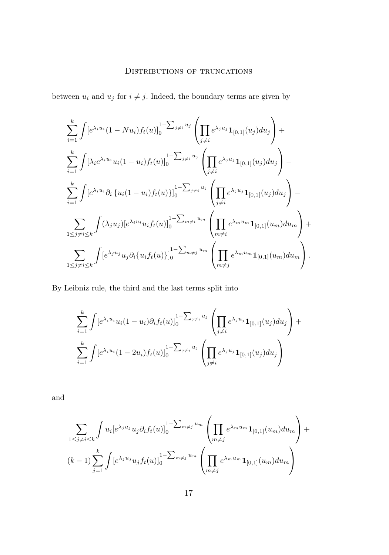### DISTRIBUTIONS OF TRUNCATIONS

between  $u_i$  and  $u_j$  for  $i \neq j$ . Indeed, the boundary terms are given by

$$
\sum_{i=1}^{k} \int [e^{\lambda_i u_i} (1 - Nu_i) f_t(u)]_0^{1 - \sum_{j \neq i} u_j} \left( \prod_{j \neq i} e^{\lambda_j u_j} \mathbf{1}_{[0,1]}(u_j) du_j \right) +
$$
\n
$$
\sum_{i=1}^{k} \int [\lambda_i e^{\lambda_i u_i} u_i (1 - u_i) f_t(u)]_0^{1 - \sum_{j \neq i} u_j} \left( \prod_{j \neq i} e^{\lambda_j u_j} \mathbf{1}_{[0,1]}(u_j) du_j \right) -
$$
\n
$$
\sum_{i=1}^{k} \int [e^{\lambda_i u_i} \partial_i \{u_i (1 - u_i) f_t(u)\}]_0^{1 - \sum_{j \neq i} u_j} \left( \prod_{j \neq i} e^{\lambda_j u_j} \mathbf{1}_{[0,1]}(u_j) du_j \right) -
$$
\n
$$
\sum_{1 \leq j \neq i \leq k} \int (\lambda_j u_j) [e^{\lambda_i u_i} u_i f_t(u)]_0^{1 - \sum_{m \neq i} u_m} \left( \prod_{m \neq i} e^{\lambda_m u_m} \mathbf{1}_{[0,1]}(u_m) du_m \right) +
$$
\n
$$
\sum_{1 \leq j \neq i \leq k} \int [e^{\lambda_j u_j} u_j \partial_i \{u_i f_t(u)\}]_0^{1 - \sum_{m \neq j} u_m} \left( \prod_{m \neq j} e^{\lambda_m u_m} \mathbf{1}_{[0,1]}(u_m) du_m \right).
$$

By Leibniz rule, the third and the last terms split into

$$
\sum_{i=1}^{k} \int [e^{\lambda_i u_i} u_i (1 - u_i) \partial_i f_t(u)]_0^{1 - \sum_{j \neq i} u_j} \left( \prod_{j \neq i} e^{\lambda_j u_j} \mathbf{1}_{[0,1]}(u_j) du_j \right) +
$$
  

$$
\sum_{i=1}^{k} \int [e^{\lambda_i u_i} (1 - 2u_i) f_t(u)]_0^{1 - \sum_{j \neq i} u_j} \left( \prod_{j \neq i} e^{\lambda_j u_j} \mathbf{1}_{[0,1]}(u_j) du_j \right)
$$

and

$$
\sum_{1 \le j \ne i \le k} \int u_i [e^{\lambda_j u_j} u_j \partial_i f_t(u)]_0^{1 - \sum_{m \ne j} u_m} \left( \prod_{m \ne j} e^{\lambda_m u_m} \mathbf{1}_{[0,1]}(u_m) du_m \right) +
$$
  

$$
(k-1) \sum_{j=1}^k \int [e^{\lambda_j u_j} u_j f_t(u)]_0^{1 - \sum_{m \ne j} u_m} \left( \prod_{m \ne j} e^{\lambda_m u_m} \mathbf{1}_{[0,1]}(u_m) du_m \right)
$$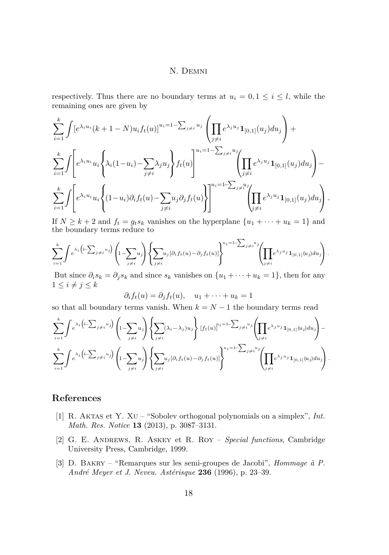<span id="page-18-0"></span>respectively. Thus there are no boundary terms at  $u_i = 0, 1 \leq i \leq l$ , while the remaining ones are given by

$$
\sum_{i=1}^{k} \int [e^{\lambda_i u_i} (k+1-N) u_i f_t(u)]^{u_i=1-\sum_{j\neq i} u_j} \left( \prod_{j\neq i} e^{\lambda_j u_j} \mathbf{1}_{[0,1]}(u_j) du_j \right) +
$$
\n
$$
\sum_{i=1}^{k} \int \left[ e^{\lambda_i u_i} u_i \left\{ \lambda_i (1-u_i) - \sum_{j\neq i} \lambda_j u_j \right\} f_t(u) \right]^{u_i=1-\sum_{j\neq i} u_j} \left( \prod_{j\neq i} e^{\lambda_j u_j} \mathbf{1}_{[0,1]}(u_j) du_j \right) -
$$
\n
$$
\sum_{i=1}^{k} \int \left[ e^{\lambda_i u_i} u_i \left\{ (1-u_i) \partial_i f_t(u) - \sum_{j\neq i} u_j \partial_j f_t(u) \right\} \right]^{u_i=1-\sum_{j\neq i} u_j} \left( \prod_{j\neq i} e^{\lambda_j u_j} \mathbf{1}_{[0,1]}(u_j) du_j \right).
$$

If  $N \geq k+2$  and  $f_t = g_ts_k$  vanishes on the hyperplane  $\{u_1 + \cdots + u_k = 1\}$  and the boundary terms reduce to

$$
\sum_{i=1}^k \int e^{\lambda_i \left(1 - \sum_{j \neq i} u_j\right)} \left(1 - \sum_{j \neq i} u_j\right) \left\{ \sum_{j \neq i} u_j [\partial_i f_t(u) - \partial_j f_t(u)] \right\}^{u_i = 1 - \sum_{j \neq i} u_j} \left( \prod_{j \neq i} e^{\lambda_j u_j} \mathbf{1}_{[0,1]}(u_j) du_j \right).
$$

But since  $\partial_i s_k = \partial_j s_k$  and since  $s_k$  vanishes on  $\{u_1 + \cdots + u_k = 1\}$ , then for any  $1 \leq i \neq j \leq k$ 

$$
\partial_i f_t(u) = \partial_j f_t(u), \quad u_1 + \dots + u_k = 1
$$

so that all boundary terms vanish. When  $k = N - 1$  the boundary terms read

$$
\sum_{i=1}^{k} \int e^{\lambda_i \left(1 - \sum_{j \neq i} u_j\right)} \left(1 - \sum_{j \neq i} u_j\right) \left\{\sum_{j \neq i} (\lambda_i - \lambda_j) u_j\right\} \left[f_t(u)\right]^{u_i = 1 - \sum_{j \neq i} u_j} \left(\prod_{j \neq i} e^{\lambda_j u_j} \mathbf{1}_{[0,1]}(u_j) du_j\right) - \sum_{i=1}^{k} \int e^{\lambda_i \left(1 - \sum_{j \neq i} u_j\right)} \left(1 - \sum_{j \neq i} u_j\right) \left\{\sum_{j \neq i} u_j [\partial_i f_t(u) - \partial_j f_t(u)]\right\}^{u_i = 1 - \sum_{j \neq i} u_j} \left(\prod_{j \neq i} e^{\lambda_j u_j} \mathbf{1}_{[0,1]}(u_j) du_j\right).
$$

### **References**

- [1] R. Aktas et Y. Xu "Sobolev orthogonal polynomials on a simplex", *Int. Math. Res. Notice* **13** (2013), p. 3087–3131.
- [2] G. E. Andrews, R. Askey et R. Roy *Special functions*, Cambridge University Press, Cambridge, 1999.
- [3] D. Bakry "Remarques sur les semi-groupes de Jacobi", *Hommage à P. André Meyer et J. Neveu. Astérisque* **236** (1996), p. 23–39.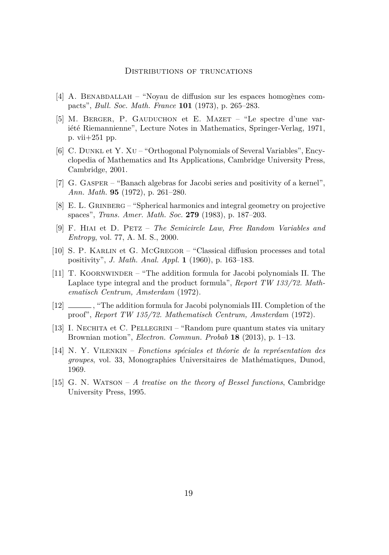- <span id="page-19-0"></span>[4] A. Benabdallah – "Noyau de diffusion sur les espaces homogènes compacts", *Bull. Soc. Math. France* **101** (1973), p. 265–283.
- [5] M. Berger, P. Gauduchon et E. Mazet "Le spectre d'une variété Riemannienne", Lecture Notes in Mathematics, Springer-Verlag, 1971, p. vii+251 pp.
- [6] C. Dunkl et Y. Xu "Orthogonal Polynomials of Several Variables", Encyclopedia of Mathematics and Its Applications, Cambridge University Press, Cambridge, 2001.
- [7] G. Gasper "Banach algebras for Jacobi series and positivity of a kernel", *Ann. Math.* **95** (1972), p. 261–280.
- [8] E. L. Grinberg "Spherical harmonics and integral geometry on projective spaces", *Trans. Amer. Math. Soc.* **279** (1983), p. 187–203.
- [9] F. Hiai et D. Petz *The Semicircle Law, Free Random Variables and Entropy*, vol. 77, A. M. S., 2000.
- [10] S. P. Karlin et G. McGregor "Classical diffusion processes and total positivity", *J. Math. Anal. Appl.* **1** (1960), p. 163–183.
- [11] T. Koornwinder "The addition formula for Jacobi polynomials II. The Laplace type integral and the product formula", *Report TW 133/72. Mathematisch Centrum, Amsterdam* (1972).
- [12]  $\qquad \qquad$ , "The addition formula for Jacobi polynomials III. Completion of the proof", *Report TW 135/72. Mathematisch Centrum, Amsterdam* (1972).
- [13] I. Nechita et C. Pellegrini "Random pure quantum states via unitary Brownian motion", *Electron. Commun. Probab* **18** (2013), p. 1–13.
- [14] N. Y. Vilenkin *Fonctions spéciales et théorie de la représentation des groupes*, vol. 33, Monographies Universitaires de Mathématiques, Dunod, 1969.
- [15] G. N. Watson *A treatise on the theory of Bessel functions*, Cambridge University Press, 1995.